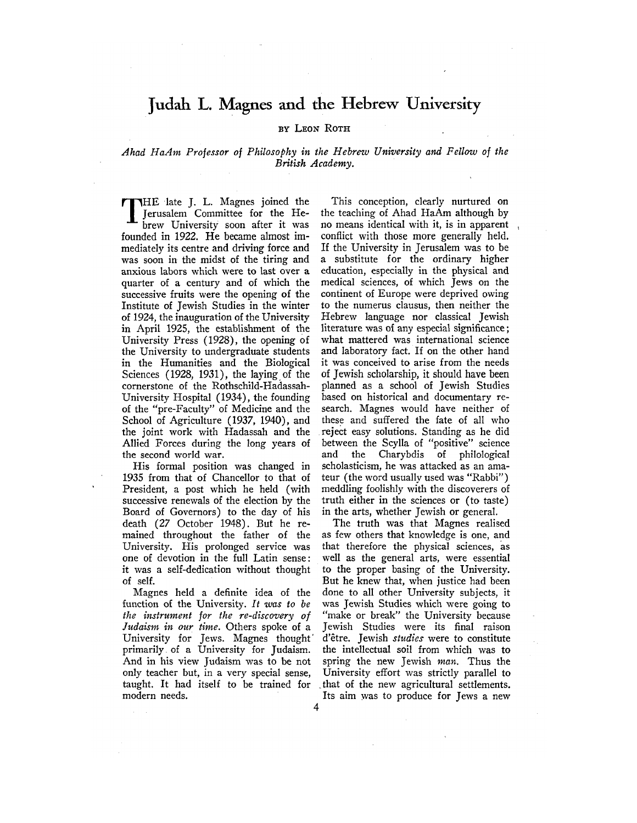## Judah L. Magnes and the Hebrew University

## BY LEON ROTH

## *Ahad HaAm Professor of Philosophy in the Hebrew University and Fellow of the British Academy.*

TTHE late J. L. Magnes joined the Jerusalem Committee for the Hebrew University soon after it was founded in 1922. He became almost immediately its centre and driving force and was soon in the midst of the tiring and anxious labors which were to last over a quarter of a century and of which the successive fruits were the opening of the Institute of Jewish Studies in the winter of 1924, the inauguration of the University in April 1925, the establishment of the University Press (1928), the opening of the University to undergraduate students in the Humanities and the Biological Sciences (1928, 1931), the laying of the cornerstone of the Rothschild-Hadassah-University Hospital (1934), the founding of the "pre-Faculty" of Medicine and the School of Agriculture (1937, 1940), and the joint work with Hadassah and the Allied Forces during the long years of the second world war.

His formal position was changed in 1935 from that of Chancellor to that of President, a post which he held (with successive renewals of the election by the Board of Governors) to the day of his death (27 October 1948). But he remained throughout the father of the University. His prolonged service was one of devotion in the full Latin sense: it was a self-dedication without thought of self.

Magnes held a definite idea of the function of the University. *It was to be the instrument for the re-discovery of Judaism in our time.* Others spoke of a University for Jews. Magnes thought primarily, of a University for Judaism. And in his view Judaism was to be not only teacher but, in a very special sense, taught. It had itself to be trained for modern needs.

This conception, clearly nurtured on the teaching of Ahad HaAm although by no means identical with it, is in apparent conflict with those more generally held. If the University in Jerusalem was to be a substitute for the ordinary higher education, especially in the physical and medical sciences, of which Jews on the continent of Europe were deprived owing to the numerus clausus, then neither the Hebrew language nor classical Jewish literature was of any especial significance; what mattered was international science and laboratory fact. If on the other hand it was conceived to arise from the needs of Jewish scholarship, it should have been planned as a school of Jewish Studies based on historical and documentary research. Magnes would have neither of these and suffered the fate of all who reject easy solutions. Standing as he did between the Scylla of "positive" science and the Charybdis of philological scholasticism, he was attacked as an amateur (the word usually used was "Rabbi") meddling foolishly with the discoverers of truth either in the sciences or (to taste) in the arts, whether Jewish or general.

The truth was that Magnes realised as few others that knowledge is one, and that therefore the physical sciences, as well as the general arts, were essential to the proper basing of the University. But he knew that, when justice had been done to all other University subjects, it was Jewish Studies which were going to "make or break" the University because Jewish Studies were its final raison d'etre. Jewish *studies* were to constitute the intellectual soil from which was to spring the new Jewish *man.* Thus the University effort was strictly parallel to \_that of the new agricultural settlements. Its aim was to produce for Jews a new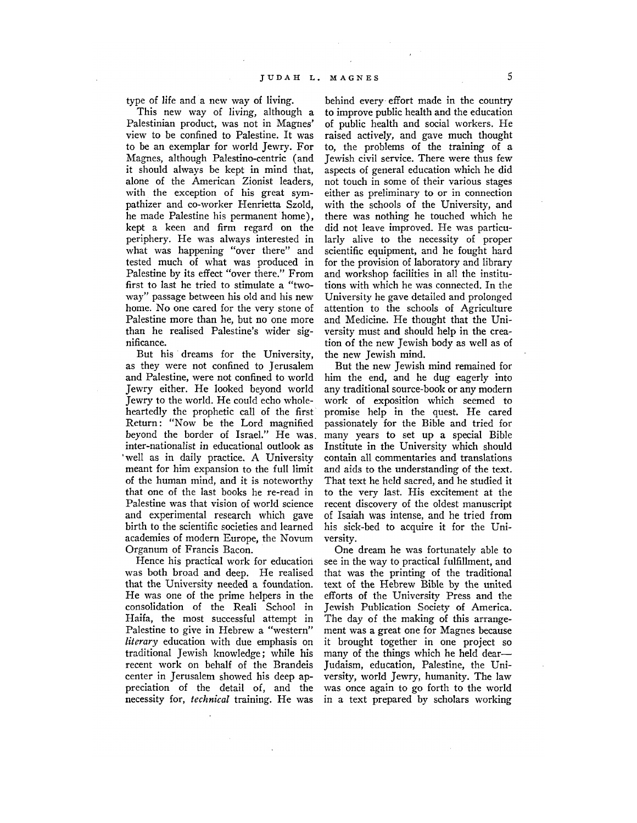type of life and a new way of living.

This new way of living, although a Palestinian product, was not in Magnes' view to be confined to Palestine. It was to be an exemplar for world Jewry. For Magnes, although Palestino-centric (and it should always be kept in mind that, alone of the American Zionist leaders, with the exception of his great sympathizer and co-worker Henrietta Szold, he made Palestine his permanent home), kept a keen and firm regard on the periphery. He was always interested in what was happening "over there" and tested much of what was produced in Palestine by its effect "over there." From first to last he tried to stimulate a "twoway" passage between his old and his new home. No one cared for the very stone of Palestine more than he, but no one more than he realised Palestine's wider significance.

But his dreams for the University, as they were not confined to Jerusalem and Palestine, were not confined to world Jewry either. He looked beyond world Jewry to the world. He could echo wholeheartedly the prophetic call of the first Return: "Now be the Lord magnified beyond the border of Israel." He was. inter-nationalist in educational outlook as 'well as in daily practice. A University meant for him expansion to the full limit of the human mind, and it is noteworthy that one of the last books he re-read in Palestine was that vision of world science and experimental research which gave birth to the scientific societies and learned academies of modern Europe, the Novum Organum of Francis Bacon.

Hence his practical work for education was both broad and deep. He realised that the University needed a foundation. He was one of the prime helpers in the consolidation of the Reali School in Haifa, the most successful attempt in Palestine to give in Hebrew a "western" *literary* education with due emphasis on traditional Jewish knowledge; while his recent work on behalf of the Brandeis center in Jerusalem showed his deep appreciation of the detail of, and the necessity for, *technical* training. He was

behind every effort made in the country to improve public health and the education of public health and social workers. He raised actively, and gave much thought to, the problems of the training of a Jewish civil service. There were thus few aspects of general education which he did not touch in some of their various stages either as preliminary to or in connection with the schools of the University, and there was nothing he touched which he did not leave improved. He was particularly alive to the necessity of proper scientific equipment, and he fought hard for the provision of laboratory and library and workshop facilities in all the institutions with which he was connected. In the University he gave detailed and prolonged attention to the schools of Agriculture and Medicine. He thought that the University must and should help in the creation of the new Jewish body as well as of the new Jewish mind.

But the new Jewish mind remained for him the end, and he dug eagerly into any traditional source-book or any modern work of exposition which seemed to promise help in the quest. He cared passionately for the Bible and tried for many years to set up a special Bible Institute in the University which should contain all commentaries and translations and aids to the understanding of the text. That text he held sacred, and he studied it to the very last. His excitement at the recent discovery of the oldest manuscript of Isaiah was intense, and he tried from his sick-bed to acquire it for the University.

One dream he was fortunately able to see in the way to practical fulfillment, and that was the printing of the traditional text of the Hebrew Bible by the united efforts of the University Press and the Jewish Publication Society of America. The day of the making of this arrangement was a great one for Magnes because it brought together in one project so many of the things which he held dear— Judaism, education, Palestine, the University, world Jewry, humanity. The law was once again to go forth to the world in a text prepared by scholars working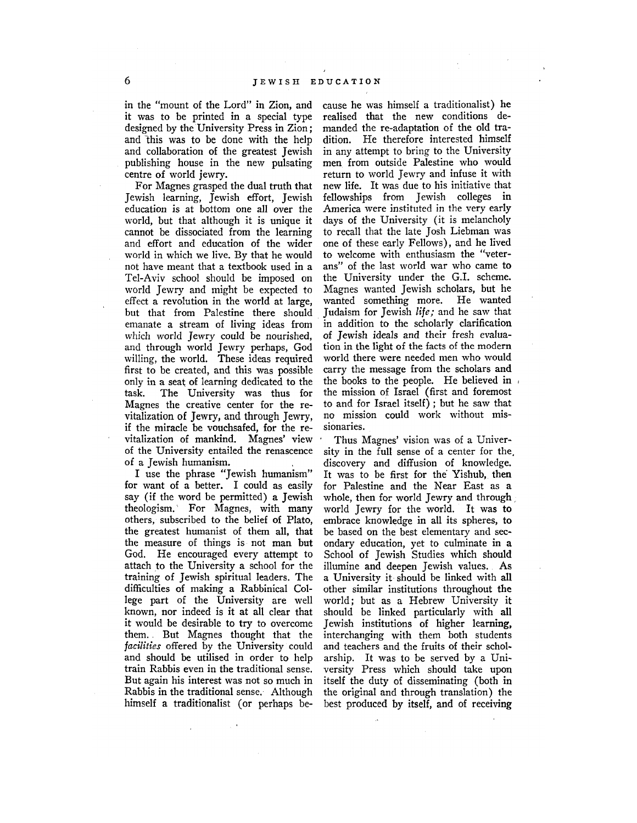in the "mount of the Lord" in Zion, and it was to be printed in a special type designed by the University Press in Zion; and Ihis was to be done with the help and collaboration of the greatest Jewish publishing house in the new pulsating centre of world jewry.

For Magnes grasped the dual truth that Jewish learning, Jewish effort, Jewish education is at bottom one all over the world, but that although it is unique it cannot be dissociated from the learning and effort and education of the wider world in which we live. By that he would not have meant that a textbook used in a Tel-Aviv school should be imposed on world Jewry and might be expected to effect a revolution in the world at large, but that from Palestine there should emanate a stream of living ideas from which world Jewry could be nourished, and through world Jewry perhaps, God willing, the world. These ideas required first to be created, and this was possible only in a seat of learning dedicated to the task. The University was thus for Magnes the creative center for the revitalization of Jewry, and through Jewry, if the miracle be vouchsafed, for the revitalization of mankind. Magnes' view of the University entailed the renascence of a Jewish humanism.

I use the phrase "Jewish humanism" for want of a better. I could as easily say (if the word be permitted) a Jewish theologism. For Magnes, with many others, subscribed to the belief of Plato, the greatest humanist of them all, that the measure of things is not man but God. He encouraged every attempt to attach to the University a school for the training of Jewish spiritual leaders. The difficulties of making a Rabbinical College part of the University are well known, nor indeed is it at all clear that it would be desirable to try to overcome them.. But Magnes thought that the *facilities* offered by the University could and should be utilised in order to help train Rabbis even in the traditional sense. But again his interest was not so much in Rabbis in the traditional sense. Although himself a traditionalist (or perhaps be-

cause he was himself a traditionalist) he realised that the new conditions demanded the re-adaptation of the old tradition. He therefore interested himself in any attempt to bring to the University men from outside Palestine who would return to world Jewry and infuse it with new life. It was due to his initiative that fellowships from Jewish colleges in America were instituted in the very early days of the University (it is melancholy to recall that the late Josh Liebman was one of these early Fellows), and he lived to welcome with enthusiasm the "veterans" of the last world war who came to the University under the G.I. scheme. Magnes wanted Jewish scholars, but he wanted something more. He wanted Judaism for Jewish *life;* and he saw that in addition to the scholarly clarification of Jewish ideals and their fresh evaluation in the light of the facts of the modern world there were needed men who would carry the message from the scholars and the books to the people. He believed in the mission of Israel (first and foremost to and for Israel itself) ; but he saw that no mission could work without missionaries.

Thus Magnes' vision was of a University in the full sense of a center for the, discovery and diffusion of knowledge. It was to be first for the' Yishub, then for Palestine and the Near East as a whole, then for world Jewry and through world Jewry for the world. It was to embrace knowledge in all its spheres, to be based on the best elementary and secondary education, yet to culminate in a School of Jewish Studies which should illumine and deepen Jewish values. As a University it should be linked with all other similar institutions throughout the world; but as a Hebrew University it should be linked particularly with all Jewish institutions of higher learning, interchanging with them both students and teachers and the fruits of their scholarship. It was to be served by a University Press which should take upon itself the duty of disseminating (both in the original and through translation) the best produced by itself, and of receiving